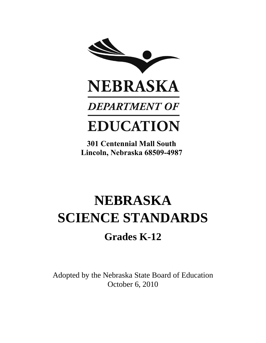

# **DEPARTMENT OF**

# **EDUCATION**

**301 Centennial Mall South Lincoln, Nebraska 68509-4987**

# **NEBRASKA SCIENCE STANDARDS Grades K-12**

Adopted by the Nebraska State Board of Education October 6, 2010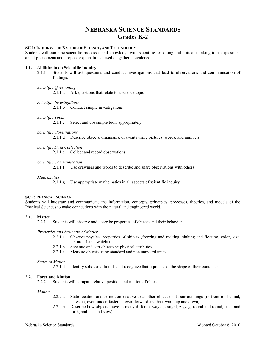# **NEBRASKA SCIENCE STANDARDS Grades K-2**

# **SC 1: INQUIRY, THE NATURE OF SCIENCE, AND TECHNOLOGY**

Students will combine scientific processes and knowledge with scientific reasoning and critical thinking to ask questions about phenomena and propose explanations based on gathered evidence.

# **1.1. Abilities to do Scientific Inquiry**

2.1.1 Students will ask questions and conduct investigations that lead to observations and communication of findings.

# *Scientific Questioning*

2.1.1.a Ask questions that relate to a science topic

# *Scientific Investigations*

2.1.1.b Conduct simple investigations

# *Scientific Tools*

2.1.1.c Select and use simple tools appropriately

# *Scientific Observations*

2.1.1.d Describe objects, organisms, or events using pictures, words, and numbers

# *Scientific Data Collection*

2.1.1.e Collect and record observations

# *Scientific Communication*

2.1.1.f Use drawings and words to describe and share observations with others

# *Mathematics*

2.1.1.g Use appropriate mathematics in all aspects of scientific inquiry

# **SC 2: PHYSICAL SCIENCE**

Students will integrate and communicate the information, concepts, principles, processes, theories, and models of the Physical Sciences to make connections with the natural and engineered world.

# **2.1. Matter**

2.2.1 Students will observe and describe properties of objects and their behavior.

*Properties and Structure of Matter*

- 2.2.1.a Observe physical properties of objects (freezing and melting, sinking and floating, color, size, texture, shape, weight)
- 2.2.1.b Separate and sort objects by physical attributes
- 2.2.1.c Measure objects using standard and non-standard units

# *States of Matter*

2.2.1.d Identify solids and liquids and recognize that liquids take the shape of their container

# **2.2. Force and Motion**

2.2.2 Students will compare relative position and motion of objects.

# *Motion*

- 2.2.2.a State location and/or motion relative to another object or its surroundings (in front of, behind, between, over, under, faster, slower, forward and backward, up and down)
- 2.2.2.b Describe how objects move in many different ways (straight, zigzag, round and round, back and forth, and fast and slow)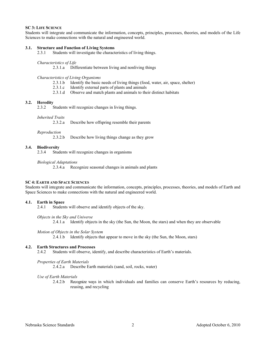# **SC 3: LIFE SCIENCE**

Students will integrate and communicate the information, concepts, principles, processes, theories, and models of the Life Sciences to make connections with the natural and engineered world.

# **3.1. Structure and Function of Living Systems**

2.3.1 Students will investigate the characteristics of living things.

# *Characteristics of Life*

2.3.1.a Differentiate between living and nonliving things

*Characteristics of Living Organisms*

- 2.3.1.b Identify the basic needs of living things (food, water, air, space, shelter)
- 2.3.1.c Identify external parts of plants and animals
- 2.3.1.d Observe and match plants and animals to their distinct habitats

# **3.2. Heredity**

2.3.2 Students will recognize changes in living things.

# *Inherited Traits*

2.3.2.a Describe how offspring resemble their parents

# *Reproduction*

2.3.2.b Describe how living things change as they grow

# **3.4. Biodiversity**

2.3.4 Students will recognize changes in organisms

# *Biological Adaptations*

2.3.4.a Recognize seasonal changes in animals and plants

# **SC 4: EARTH AND SPACE SCIENCES**

Students will integrate and communicate the information, concepts, principles, processes, theories, and models of Earth and Space Sciences to make connections with the natural and engineered world.

# **4.1. Earth in Space**

2.4.1 Students will observe and identify objects of the sky.

# *Objects in the Sky and Universe*

2.4.1.a Identify objects in the sky (the Sun, the Moon, the stars) and when they are observable

# *Motion of Objects in the Solar System*

2.4.1.b Identify objects that appear to move in the sky (the Sun, the Moon, stars)

# **4.2. Earth Structures and Processes**

2.4.2 Students will observe, identify, and describe characteristics of Earth's materials.

# *Properties of Earth Materials*

2.4.2.a Describe Earth materials (sand, soil, rocks, water)

# *Use of Earth Materials*

2.4.2.b Recognize ways in which individuals and families can conserve Earth's resources by reducing, reusing, and recycling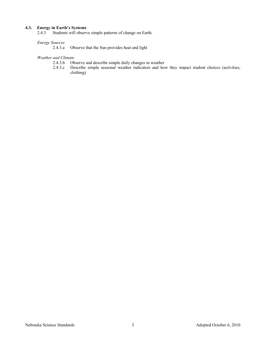# **4.3. Energy in Earth's Systems**

Students will observe simple patterns of change on Earth.

# *Energy Sources*

2.4.3.a Observe that the Sun provides heat and light

# *Weather and Climate*

- 2.4.3.b Observe and describe simple daily changes in weather 2.4.3.c Describe simple seasonal weather indicators and how
	- Describe simple seasonal weather indicators and how they impact student choices (activities, clothing)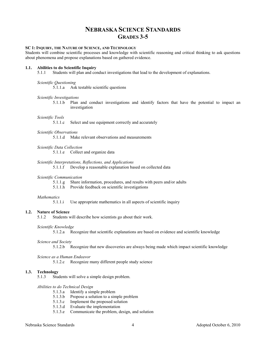# **NEBRASKA SCIENCE STANDARDS GRADES 3-5**

# **SC 1: INQUIRY, THE NATURE OF SCIENCE, AND TECHNOLOGY**

Students will combine scientific processes and knowledge with scientific reasoning and critical thinking to ask questions about phenomena and propose explanations based on gathered evidence.

# **1.1. Abilities to do Scientific Inquiry**

5.1.1 Students will plan and conduct investigations that lead to the development of explanations.

# *Scientific Questioning*

5.1.1.a Ask testable scientific questions

# *Scientific Investigations*

5.1.1.b Plan and conduct investigations and identify factors that have the potential to impact an investigation

# *Scientific Tools*

5.1.1.c Select and use equipment correctly and accurately

# *Scientific Observations*

5.1.1.d Make relevant observations and measurements

# *Scientific Data Collection*

5.1.1.e Collect and organize data

# *Scientific Interpretations, Reflections, and Applications*

5.1.1.f Develop a reasonable explanation based on collected data

# *Scientific Communication*

5.1.1.g Share information, procedures, and results with peers and/or adults

5.1.1.h Provide feedback on scientific investigations

# *Mathematics*

5.1.1.i Use appropriate mathematics in all aspects of scientific inquiry

# **1.2. Nature of Science**

5.1.2 Students will describe how scientists go about their work.

# *Scientific Knowledge*

5.1.2.a Recognize that scientific explanations are based on evidence and scientific knowledge

# *Science and Society*

5.1.2.b Recognize that new discoveries are always being made which impact scientific knowledge

# *Science as a Human Endeavor*

5.1.2.c Recognize many different people study science

# **1.3. Technology**

5.1.3 Students will solve a simple design problem.

# *Abilities to do Technical Design*

- 5.1.3.a Identify a simple problem
- 5.1.3.b Propose a solution to a simple problem
- 5.1.3.c Implement the proposed solution
- 5.1.3.d Evaluate the implementation
- 5.1.3.e Communicate the problem, design, and solution

# Nebraska Science Standards and the standards and the standards and the Adopted October 6, 2010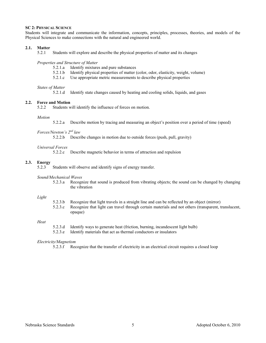# **SC 2: PHYSICAL SCIENCE**

Students will integrate and communicate the information, concepts, principles, processes, theories, and models of the Physical Sciences to make connections with the natural and engineered world.

# **2.1. Matter**

5.2.1 Students will explore and describe the physical properties of matter and its changes

*Properties and Structure of Matter*

- 5.2.1.a Identify mixtures and pure substances
- 5.2.1.b Identify physical properties of matter (color, odor, elasticity, weight, volume)
- 5.2.1.c Use appropriate metric measurements to describe physical properties

# *States of Matter*

5.2.1.d Identify state changes caused by heating and cooling solids, liquids, and gases

# **2.2. Force and Motion**

5.2.2 Students will identify the influence of forces on motion.

# *Motion*

5.2.2.a Describe motion by tracing and measuring an object's position over a period of time (speed)

# *Forces/Newton's 2nd law*

5.2.2.b Describe changes in motion due to outside forces (push, pull, gravity)

# *Universal Forces*

5.2.2.c Describe magnetic behavior in terms of attraction and repulsion

# **2.3. Energy**

5.2.3 Students will observe and identify signs of energy transfer.

# *Sound/Mechanical Waves*

5.2.3.a Recognize that sound is produced from vibrating objects; the sound can be changed by changing the vibration

# *Light*

- 5.2.3.b Recognize that light travels in a straight line and can be reflected by an object (mirror)
- 5.2.3.c Recognize that light can travel through certain materials and not others (transparent, translucent, opaque)

# *Heat*

- 5.2.3.d Identify ways to generate heat (friction, burning, incandescent light bulb)
- 5.2.3.e Identify materials that act as thermal conductors or insulators

# *Electricity/Magnetism*

5.2.3.f Recognize that the transfer of electricity in an electrical circuit requires a closed loop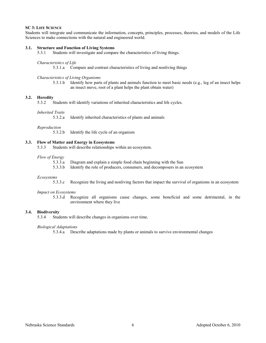# **SC 3: LIFE SCIENCE**

Students will integrate and communicate the information, concepts, principles, processes, theories, and models of the Life Sciences to make connections with the natural and engineered world.

# **3.1. Structure and Function of Living Systems**

5.3.1 Students will investigate and compare the characteristics of living things.

# *Characteristics of Life*

5.3.1.a Compare and contrast characteristics of living and nonliving things

# *Characteristics of Living Organisms*

5.3.1.b Identify how parts of plants and animals function to meet basic needs (e.g., leg of an insect helps an insect move, root of a plant helps the plant obtain water)

# **3.2. Heredity**

5.3.2 Students will identify variations of inherited characteristics and life cycles.

# *Inherited Traits*

5.3.2.a Identify inherited characteristics of plants and animals

# *Reproduction*

5.3.2.b Identify the life cycle of an organism

# **3.3. Flow of Matter and Energy in Ecosystems**

5.3.3 Students will describe relationships within an ecosystem.

# *Flow of Energy*

5.3.3.a Diagram and explain a simple food chain beginning with the Sun

5.3.3.b Identify the role of producers, consumers, and decomposers in an ecosystem

# *Ecosystems*

5.3.3.c Recognize the living and nonliving factors that impact the survival of organisms in an ecosystem

# *Impact on Ecosystems*

5.3.3.d Recognize all organisms cause changes, some beneficial and some detrimental, in the environment where they live

# **3.4. Biodiversity**

5.3.4 Students will describe changes in organisms over time.

# *Biological Adaptations*

5.3.4.a Describe adaptations made by plants or animals to survive environmental changes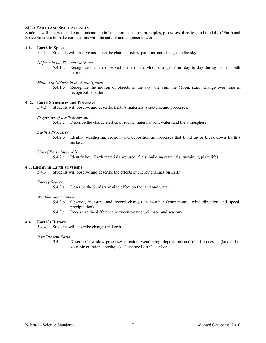# **SC 4: EARTH AND SPACE SCIENCES**

Students will integrate and communicate the information, concepts, principles, processes, theories, and models of Earth and Space Sciences to make connections with the natural and engineered world.

# **4.1. Earth in Space**

5.4.1 Students will observe and describe characteristics, patterns, and changes in the sky.

# *Objects in the Sky and Universe*

5.4.1.a Recognize that the observed shape of the Moon changes from day to day during a one month period

# *Motion of Objects in the Solar System*

5.4.1.b Recognize the motion of objects in the sky (the Sun, the Moon, stars) change over time in recognizable patterns

# **4. 2. Earth Structures and Processes**

5.4.2 Students will observe and describe Earth's materials, structure, and processes.

# *Properties of Earth Materials*

5.4.2.a Describe the characteristics of rocks, minerals, soil, water, and the atmosphere

# *Earth's Processes*

5.4.2.b Identify weathering, erosion, and deposition as processes that build up or break down Earth's surface

# *Use of Earth Materials*

5.4.2.c Identify how Earth materials are used (fuels, building materials, sustaining plant life)

# **4.3. Energy in Earth's Systems**

Students will observe and describe the effects of energy changes on Earth.

# *Energy Sources*

5.4.3.a Describe the Sun's warming effect on the land and water

# *Weather and Climate*

- 5.4.3.b Observe, measure, and record changes in weather (temperature, wind direction and speed, precipitation)
- 5.4.3.c Recognize the difference between weather, climate, and seasons

# **4.4. Earth's History**

5.4.4 Students will describe changes in Earth.

# *Past/Present Earth*

5.4.4.a Describe how slow processes (erosion, weathering, deposition) and rapid processes (landslides, volcanic eruptions, earthquakes) change Earth's surface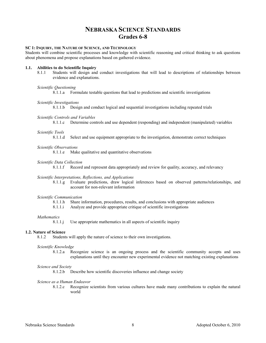# **NEBRASKA SCIENCE STANDARDS Grades 6-8**

# **SC 1: INQUIRY, THE NATURE OF SCIENCE, AND TECHNOLOGY**

Students will combine scientific processes and knowledge with scientific reasoning and critical thinking to ask questions about phenomena and propose explanations based on gathered evidence.

# **1.1. Abilities to do Scientific Inquiry**

8.1.1 Students will design and conduct investigations that will lead to descriptions of relationships between evidence and explanations.

# *Scientific Questioning*

8.1.1.a Formulate testable questions that lead to predictions and scientific investigations

# *Scientific Investigations*

8.1.1.b Design and conduct logical and sequential investigations including repeated trials

# *Scientific Controls and Variables*

8.1.1.c Determine controls and use dependent (responding) and independent (manipulated) variables

# *Scientific Tools*

8.1.1.d Select and use equipment appropriate to the investigation, demonstrate correct techniques

# *Scientific Observations*

8.1.1.e Make qualitative and quantitative observations

# *Scientific Data Collection*

8.1.1.f Record and represent data appropriately and review for quality, accuracy, and relevancy

# *Scientific Interpretations, Reflections, and Applications*

8.1.1.g Evaluate predictions, draw logical inferences based on observed patterns**/**relationships, and account for non-relevant information

# *Scientific Communication*

- 8.1.1.h Share information, procedures, results, and conclusions with appropriate audiences
- 8.1.1.i Analyze and provide appropriate critique of scientific investigations

# *Mathematics*

# **1.2. Nature of Science**

8.1.2 Students will apply the nature of science to their own investigations.

#### *Scientific Knowledge*

8.1.2.a Recognize science is an ongoing process and the scientific community accepts and uses explanations until they encounter new experimental evidence not matching existing explanations

# *Science and Society*

8.1.2.b Describe how scientific discoveries influence and change society

# *Science as a Human Endeavor*

8.1.2.c Recognize scientists from various cultures have made many contributions to explain the natural world

<sup>8.1.1.</sup>j Use appropriate mathematics in all aspects of scientific inquiry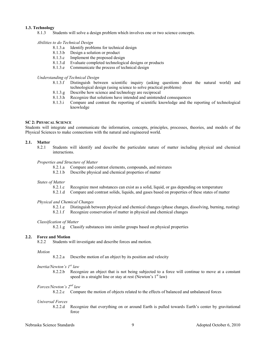# **1.3. Technology**

8.1.3 Students will solve a design problem which involves one or two science concepts.

# *Abilities to do Technical Design*

- 8.1.3.a Identify problems for technical design
- 8.1.3.b Design a solution or product<br>8.1.3.c Implement the proposed desi
- Implement the proposed design
- 8.1.3.d Evaluate completed technological designs or products
- 8.1.3.e Communicate the process of technical design

# *Understanding of Technical Design*

- 8.1.3.f Distinguish between scientific inquiry (asking questions about the natural world) and technological design (using science to solve practical problems)
- 8.1.3.g Describe how science and technology are reciprocal
- 8.1.3.h Recognize that solutions have intended and unintended consequences
- 8.1.3.i Compare and contrast the reporting of scientific knowledge and the reporting of technological knowledge

# **SC 2: PHYSICAL SCIENCE**

Students will integrate and communicate the information, concepts, principles, processes, theories, and models of the Physical Sciences to make connections with the natural and engineered world.

# **2.1. Matter**

8.2.1 Students will identify and describe the particulate nature of matter including physical and chemical interactions.

# *Properties and Structure of Matter*

- 8.2.1.a Compare and contrast elements, compounds, and mixtures
- 8.2.1.b Describe physical and chemical properties of matter

# *States of Matter*

- Recognize most substances can exist as a solid, liquid, or gas depending on temperature
- 8.2.1.d Compare and contrast solids, liquids, and gases based on properties of these states of matter

# *Physical and Chemical Changes*

- 8.2.1.e Distinguish between physical and chemical changes (phase changes, dissolving, burning, rusting)
- 8.2.1.f Recognize conservation of matter in physical and chemical changes

# *Classification of Matter*

8.2.1.g Classify substances into similar groups based on physical properties

# **2.2. Force and Motion**

8.2.2 Students will investigate and describe forces and motion.

# *Motion*

8.2.2.a Describe motion of an object by its position and velocity

# *Inertia/Newton's 1st law*

8.2.2.b Recognize an object that is not being subjected to a force will continue to move at a constant speed in a straight line or stay at rest (Newton's  $1<sup>st</sup>$  law)

# *Forces/Newton's 2nd law*

8.2.2.c Compare the motion of objects related to the effects of balanced and unbalanced forces

# *Universal Forces*

8.2.2.d Recognize that everything on or around Earth is pulled towards Earth's center by gravitational force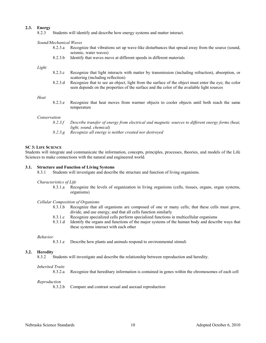# **2.3. Energy**

8.2.3 Students will identify and describe how energy systems and matter interact.

*Sound/Mechanical Waves*

- 8.2.3.a Recognize that vibrations set up wave-like disturbances that spread away from the source (sound, seismic, water waves)
- 8.2.3.b Identify that waves move at different speeds in different materials

*Light*

- 8.2.3.c Recognize that light interacts with matter by transmission (including refraction), absorption, or scattering (including reflection)
- 8.2.3.d Recognize that to see an object, light from the surface of the object must enter the eye; the color seen depends on the properties of the surface and the color of the available light sources

# *Heat*

8.2.3.e Recognize that heat moves from warmer objects to cooler objects until both reach the same temperature

# *Conservation*

- *8.2.3.f Describe transfer of energy from electrical and magnetic sources to different energy forms (heat, light, sound, chemical)*
- *8.2.3.g Recognize all energy is neither created nor destroyed*

# **SC 3: LIFE SCIENCE**

Students will integrate and communicate the information, concepts, principles, processes, theories, and models of the Life Sciences to make connections with the natural and engineered world.

# **3.1. Structure and Function of Living Systems**

8.3.1 Students will investigate and describe the structure and function of living organisms.

*Characteristics of Life*

8.3.1.a Recognize the levels of organization in living organisms (cells, tissues, organs, organ systems, organisms)

# *Cellular Composition of Organisms*

- 8.3.1.b Recognize that all organisms are composed of one or many cells; that these cells must grow, divide, and use energy; and that all cells function similarly
- 8.3.1.c Recognize specialized cells perform specialized functions in multicellular organisms
- 8.3.1.d Identify the organs and functions of the major systems of the human body and describe ways that these systems interact with each other

#### *Behavior*

8.3.1.e Describe how plants and animals respond to environmental stimuli

# **3.2. Heredity**

8.3.2 Students will investigate and describe the relationship between reproduction and heredity.

# *Inherited Traits*

8.3.2.a Recognize that hereditary information is contained in genes within the chromosomes of each cell

# *Reproduction*

8.3.2.b Compare and contrast sexual and asexual reproduction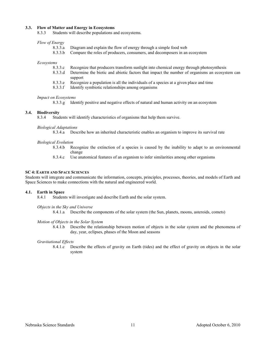# **3.3. Flow of Matter and Energy in Ecosystems**

8.3.3 Students will describe populations and ecosystems.

# *Flow of Energy*

- 8.3.3.a Diagram and explain the flow of energy through a simple food web<br>8.3.3.b Compare the roles of producers, consumers, and decomposers in an
- Compare the roles of producers, consumers, and decomposers in an ecosystem

# *Ecosystems*

- 8.3.3.c Recognize that producers transform sunlight into chemical energy through photosynthesis
- 8.3.3.d Determine the biotic and abiotic factors that impact the number of organisms an ecosystem can support
- 8.3.3.e Recognize a population is all the individuals of a species at a given place and time
- 8.3.3.f Identify symbiotic relationships among organisms

# *Impact on Ecosystems*

8.3.3.g Identify positive and negative effects of natural and human activity on an ecosystem

# **3.4. Biodiversity**

8.3.4 Students will identify characteristics of organisms that help them survive.

# *Biological Adaptations*

8.3.4.a Describe how an inherited characteristic enables an organism to improve its survival rate

# *Biological Evolution*

- 8.3.4.b Recognize the extinction of a species is caused by the inability to adapt to an environmental change
- 8.3.4.c Use anatomical features of an organism to infer similarities among other organisms

# **SC 4: EARTH AND SPACE SCIENCES**

Students will integrate and communicate the information, concepts, principles, processes, theories, and models of Earth and Space Sciences to make connections with the natural and engineered world.

# **4.1. Earth in Space**

8.4.1 Students will investigate and describe Earth and the solar system.

# *Objects in the Sky and Universe*

8.4.1.a Describe the components of the solar system (the Sun, planets, moons, asteroids, comets)

# *Motion of Objects in the Solar System*

8.4.1.b Describe the relationship between motion of objects in the solar system and the phenomena of day, year, eclipses, phases of the Moon and seasons

# *Gravitational Effects*

8.4.1.c Describe the effects of gravity on Earth (tides) and the effect of gravity on objects in the solar system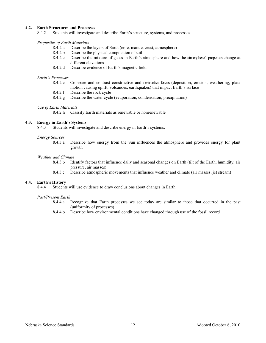# **4.2. Earth Structures and Processes**

8.4.2 Students will investigate and describe Earth's structure, systems, and processes.

# *Properties of Earth Materials*

- 8.4.2.a Describe the layers of Earth (core, mantle, crust, atmosphere)
- 8.4.2.b Describe the physical composition of soil
- 8.4.2.c Describe the mixture of gases in Earth's atmosphere and how the atmosphere's properties change at different elevations
- 8.4.2.d Describe evidence of Earth's magnetic field

# *Earth's Processes*

- 8.4.2.e Compare and contrast constructive and destructive forces (deposition, erosion, weathering, plate motion causing uplift, volcanoes, earthquakes) that impact Earth's surface
- 8.4.2.f Describe the rock cycle
- 8.4.2.g Describe the water cycle (evaporation, condensation, precipitation)

# *Use of Earth Materials*

8.4.2.h Classify Earth materials as renewable or nonrenewable

# **4.3. Energy in Earth's Systems**

8.4.3 Students will investigate and describe energy in Earth's systems.

# *Energy Sources*

8.4.3.a Describe how energy from the Sun influences the atmosphere and provides energy for plant growth

# *Weather and Climate*

- 8.4.3.b Identify factors that influence daily and seasonal changes on Earth (tilt of the Earth, humidity, air pressure, air masses)
- 8.4.3.c Describe atmospheric movements that influence weather and climate (air masses, jet stream)

# **4.4. Earth's History**

8.4.4 Students will use evidence to draw conclusions about changes in Earth.

# *Past/Present Earth*

- 8.4.4.a Recognize that Earth processes we see today are similar to those that occurred in the past (uniformity of processes)
- 8.4.4.b Describe how environmental conditions have changed through use of the fossil record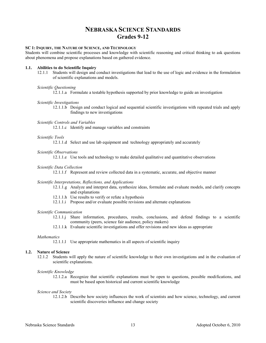# **NEBRASKA SCIENCE STANDARDS Grades 9-12**

# **SC 1: INQUIRY, THE NATURE OF SCIENCE, AND TECHNOLOGY**

Students will combine scientific processes and knowledge with scientific reasoning and critical thinking to ask questions about phenomena and propose explanations based on gathered evidence.

# **1.1. Abilities to do Scientific Inquiry**

12.1.1 Students will design and conduct investigations that lead to the use of logic and evidence in the formulation of scientific explanations and models.

# *Scientific Questioning*

12.1.1.a Formulate a testable hypothesis supported by prior knowledge to guide an investigation

# *Scientific Investigations*

12.1.1.b Design and conduct logical and sequential scientific investigations with repeated trials and apply findings to new investigations

# *Scientific Controls and Variables*

12.1.1.c Identify and manage variables and constraints

# *Scientific Tools*

12.1.1.d Select and use lab equipment and technology appropriately and accurately

# *Scientific Observations*

12.1.1.e Use tools and technology to make detailed qualitative and quantitative observations

# *Scientific Data Collection*

12.1.1.f Represent and review collected data in a systematic, accurate, and objective manner

# *Scientific Interpretations, Reflections, and Applications*

- 12.1.1.g Analyze and interpret data, synthesize ideas, formulate and evaluate models, and clarify concepts and explanations
- 12.1.1.h Use results to verify or refute a hypothesis
- 12.1.1.i Propose and/or evaluate possible revisions and alternate explanations

# *Scientific Communication*

- 12.1.1.j Share information, procedures, results, conclusions, and defend findings to a scientific community (peers, science fair audience, policy makers)
- 12.1.1.k Evaluate scientific investigations and offer revisions and new ideas as appropriate

# *Mathematics*

12.1.1.l Use appropriate mathematics in all aspects of scientific inquiry

# **1.2. Nature of Science**

12.1.2 Students will apply the nature of scientific knowledge to their own investigations and in the evaluation of scientific explanations.

# *Scientific Knowledge*

12.1.2.a Recognize that scientific explanations must be open to questions, possible modifications, and must be based upon historical and current scientific knowledge

# *Science and Society*

12.1.2.b Describe how society influences the work of scientists and how science, technology, and current scientific discoveries influence and change society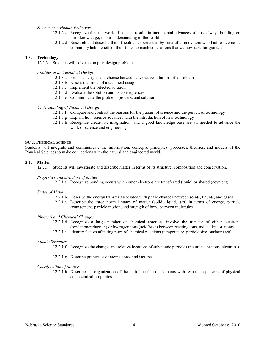# *Science as a Human Endeavor*

- 12.1.2.c Recognize that the work of science results in incremental advances, almost always building on prior knowledge, in our understanding of the world
- 12.1.2.d Research and describe the difficulties experienced by scientific innovators who had to overcome commonly held beliefs of their times to reach conclusions that we now take for granted

# **1.3. Technology**

12.1.3 Students will solve a complex design problem.

*Abilities to do Technical Design*

- 12.1.3.a Propose designs and choose between alternative solutions of a problem
- 12.1.3.b Assess the limits of a technical design
- 12.1.3.c Implement the selected solution
- 12.1.3.d Evaluate the solution and its consequences
- 12.1.3.e Communicate the problem, process, and solution

# *Understanding of Technical Design*

12.1.3.f Compare and contrast the reasons for the pursuit of science and the pursuit of technology

- 12.1.3.g Explain how science advances with the introduction of new technology
- 12.1.3.h Recognize creativity, imagination, and a good knowledge base are all needed to advance the work of science and engineering

# **SC 2: PHYSICAL SCIENCE**

Students will integrate and communicate the information, concepts, principles, processes, theories, and models of the Physical Sciences to make connections with the natural and engineered world.

# **2.1. Matter**

12.2.1 Students will investigate and describe matter in terms of its structure, composition and conservation.

# *Properties and Structure of Matter*

12.2.1.a Recognize bonding occurs when outer electrons are transferred (ionic) or shared (covalent)

# *States of Matter*

- 12.2.1.b Describe the energy transfer associated with phase changes between solids, liquids, and gases
- 12.2.1.c Describe the three normal states of matter (solid, liquid, gas) in terms of energy, particle arrangement, particle motion, and strength of bond between molecules

# *Physical and Chemical Changes*

- 12.2.1.d Recognize a large number of chemical reactions involve the transfer of either electrons (oxidation/reduction) or hydrogen ions (acid/base) between reacting ions, molecules, or atoms
- 12.2.1.e Identify factors affecting rates of chemical reactions (temperature, particle size, surface area)

# *Atomic Structure*

- 12.2.1.f Recognize the charges and relative locations of subatomic particles (neutrons, protons, electrons)
- 12.2.1.g Describe properties of atoms, ions, and isotopes

# *Classification of Matter*

12.2.1.h Describe the organization of the periodic table of elements with respect to patterns of physical and chemical properties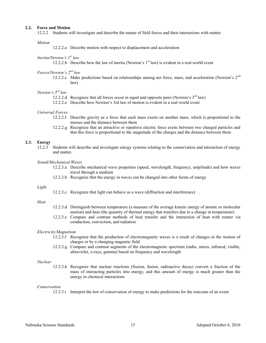# **2.2. Force and Motion**

12.2.2 Students will investigate and describe the nature of field forces and their interactions with matter.

*Motion*

12.2.2.a Describe motion with respect to displacement and acceleration

*Inertia/Newton's 1st law*

12.2.2.b Describe how the law of inertia (Newton's  $1<sup>st</sup>$  law) is evident in a real-world event

# *Forces/Newton's 2nd law*

12.2.2.c Make predictions based on relationships among net force, mass, and acceleration (Newton's  $2<sup>nd</sup>$ law)

# *Newton's 3rd law*

- 12.2.2.d Recognize that all forces occur in equal and opposite pairs (Newton's  $3<sup>rd</sup>$  law)
- 12.2.2.e Describe how Newton's 3rd law of motion is evident in a real-world event

# *Universal Forces*

- 12.2.2.f Describe gravity as a force that each mass exerts on another mass, which is proportional to the masses and the distance between them
- 12.2.2.g Recognize that an attractive or repulsive electric force exists between two charged particles and that this force is proportional to the magnitude of the charges and the distance between them

# **2.3. Energy**

12.2.3 Students will describe and investigate energy systems relating to the conservation and interaction of energy and matter.

# *Sound/Mechanical Waves*

- 12.2.3.a Describe mechanical wave properties (speed, wavelength, frequency, amplitude) and how waves travel through a medium
- 12.2.3.b Recognize that the energy in waves can be changed into other forms of energy

# *Light*

12.2.3.c Recognize that light can behave as a wave (diffraction and interference)

# *Heat*

- 12.2.3.d Distinguish between temperature (a measure of the average kinetic energy of atomic or molecular motion) and heat (the quantity of thermal energy that transfers due to a change in temperature)
- 12.2.3.e Compare and contrast methods of heat transfer and the interaction of heat with matter via conduction, convection, and radiation

# *Electricity/Magnetism*

- 12.2.3.f Recognize that the production of electromagnetic waves is a result of changes in the motion of charges or by a changing magnetic field
- 12.2.3.g Compare and contrast segments of the electromagnetic spectrum (radio, micro, infrared, visible, ultraviolet, x-rays, gamma) based on frequency and wavelength

# *Nuclear*

12.2.3.h Recognize that nuclear reactions (fission, fusion, radioactive decay) convert a fraction of the mass of interacting particles into energy, and this amount of energy is much greater than the energy in chemical interactions

# *Conservation*

12.2.3.i Interpret the law of conservation of energy to make predictions for the outcome of an event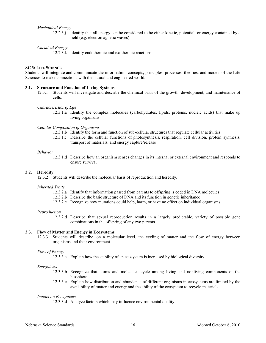# *Mechanical Energy*

12.2.3.j Identify that all energy can be considered to be either kinetic, potential, or energy contained by a field (e.g. electromagnetic waves)

# *Chemical Energy*

12.2.3.k Identify endothermic and exothermic reactions

# **SC 3: LIFE SCIENCE**

Students will integrate and communicate the information, concepts, principles, processes, theories, and models of the Life Sciences to make connections with the natural and engineered world.

# **3.1. Structure and Function of Living Systems**

12.3.1 Students will investigate and describe the chemical basis of the growth, development, and maintenance of cells.

# *Characteristics of Life*

12.3.1.a Identify the complex molecules (carbohydrates, lipids, proteins, nucleic acids) that make up living organisms

# *Cellular Composition of Organisms*

- 12.3.1.b Identify the form and function of sub-cellular structures that regulate cellular activities
- 12.3.1.c Describe the cellular functions of photosynthesis, respiration, cell division, protein synthesis, transport of materials, and energy capture/release

# *Behavior*

12.3.1.d Describe how an organism senses changes in its internal or external environment and responds to ensure survival

# **3.2. Heredity**

12.3.2 Students will describe the molecular basis of reproduction and heredity.

# *Inherited Traits*

- 12.3.2.a Identify that information passed from parents to offspring is coded in DNA molecules
- 12.3.2.b Describe the basic structure of DNA and its function in genetic inheritance
- 12.3.2.c Recognize how mutations could help, harm, or have no effect on individual organisms

#### *Reproduction*

12.3.2.d Describe that sexual reproduction results in a largely predictable, variety of possible gene combinations in the offspring of any two parents

# **3.3. Flow of Matter and Energy in Ecosystems**

12.3.3 Students will describe, on a molecular level, the cycling of matter and the flow of energy between organisms and their environment.

# *Flow of Energy*

12.3.3.a Explain how the stability of an ecosystem is increased by biological diversity

# *Ecosystems*

- 12.3.3.b Recognize that atoms and molecules cycle among living and nonliving components of the biosphere
- 12.3.3.c Explain how distribution and abundance of different organisms in ecosystems are limited by the availability of matter and energy and the ability of the ecosystem to recycle materials

#### *Impact on Ecosystems*

12.3.3.d Analyze factors which may influence environmental quality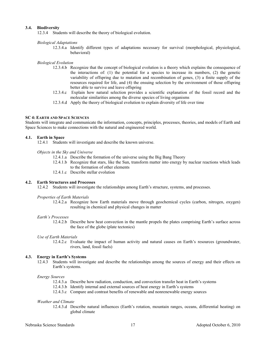# **3.4. Biodiversity**

12.3.4 Students will describe the theory of biological evolution.

# *Biological Adaptations*

12.3.4.a Identify different types of adaptations necessary for survival (morphological, physiological, behavioral)

# *Biological Evolution*

- 12.3.4.b Recognize that the concept of biological evolution is a theory which explains the consequence of the interactions of: (1) the potential for a species to increase its numbers, (2) the genetic variability of offspring due to mutation and recombination of genes, (3) a finite supply of the resources required for life, and (4) the ensuing selection by the environment of those offspring better able to survive and leave offspring
- 12.3.4.c Explain how natural selection provides a scientific explanation of the fossil record and the molecular similarities among the diverse species of living organisms
- 12.3.4.d Apply the theory of biological evolution to explain diversity of life over time

# **SC 4: EARTH AND SPACE SCIENCES**

Students will integrate and communicate the information, concepts, principles, processes, theories, and models of Earth and Space Sciences to make connections with the natural and engineered world.

# **4.1. Earth in Space**

12.4.1 Students will investigate and describe the known universe.

# *Objects in the Sky and Universe*

- 12.4.1.a Describe the formation of the universe using the Big Bang Theory
- 12.4.1.b Recognize that stars, like the Sun, transform matter into energy by nuclear reactions which leads to the formation of other elements
- 12.4.1.c Describe stellar evolution

# **4.2. Earth Structures and Processes**

12.4.2 Students will investigate the relationships among Earth's structure, systems, and processes.

# *Properties of Earth Materials*

12.4.2.a Recognize how Earth materials move through geochemical cycles (carbon, nitrogen, oxygen) resulting in chemical and physical changes in matter

# *Earth's Processes*

12.4.2.b Describe how heat convection in the mantle propels the plates comprising Earth's surface across the face of the globe (plate tectonics)

# *Use of Earth Materials*

12.4.2.c Evaluate the impact of human activity and natural causes on Earth's resources (groundwater, rivers, land, fossil fuels)

# **4.3. Energy in Earth's Systems**

12.4.3 Students will investigate and describe the relationships among the sources of energy and their effects on Earth's systems.

# *Energy Sources*

- 12.4.3.a Describe how radiation, conduction, and convection transfer heat in Earth's systems
- 12.4.3.b Identify internal and external sources of heat energy in Earth's systems
- 12.4.3.c Compare and contrast benefits of renewable and nonrenewable energy sources

# *Weather and Climate*

12.4.3.d Describe natural influences (Earth's rotation, mountain ranges, oceans, differential heating) on global climate